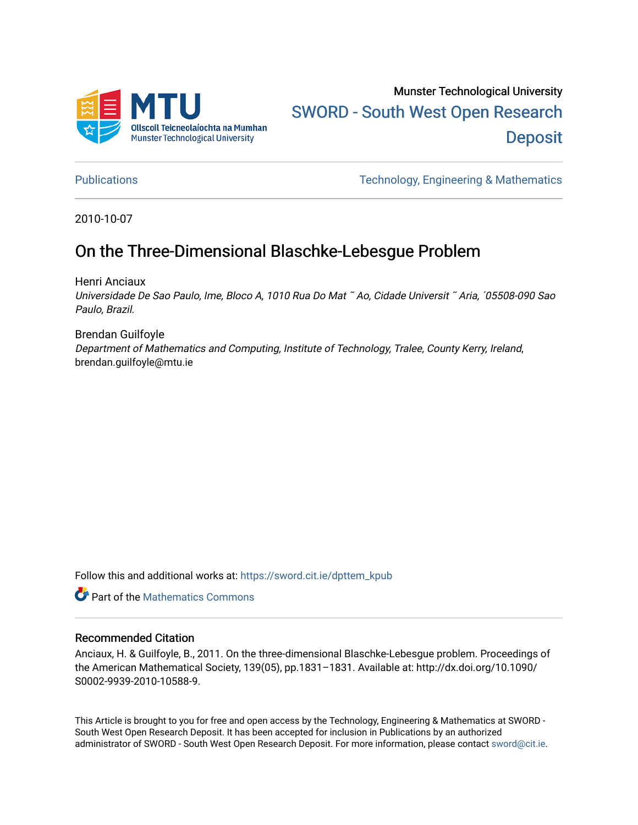

# Munster Technological University [SWORD - South West Open Research](https://sword.cit.ie/)  **Deposit**

[Publications](https://sword.cit.ie/dpttem_kpub) [Technology, Engineering & Mathematics](https://sword.cit.ie/dpttem_k) 

2010-10-07

## On the Three-Dimensional Blaschke-Lebesgue Problem

Henri Anciaux

Universidade De Sao Paulo, Ime, Bloco A, 1010 Rua Do Mat ˜ Ao, Cidade Universit ˜ Aria, ´05508-090 Sao Paulo, Brazil.

Brendan Guilfoyle Department of Mathematics and Computing, Institute of Technology, Tralee, County Kerry, Ireland, brendan.guilfoyle@mtu.ie

Follow this and additional works at: [https://sword.cit.ie/dpttem\\_kpub](https://sword.cit.ie/dpttem_kpub?utm_source=sword.cit.ie%2Fdpttem_kpub%2F11&utm_medium=PDF&utm_campaign=PDFCoverPages) 

**Part of the [Mathematics Commons](http://network.bepress.com/hgg/discipline/174?utm_source=sword.cit.ie%2Fdpttem_kpub%2F11&utm_medium=PDF&utm_campaign=PDFCoverPages)** 

#### Recommended Citation

Anciaux, H. & Guilfoyle, B., 2011. On the three-dimensional Blaschke-Lebesgue problem. Proceedings of the American Mathematical Society, 139(05), pp.1831–1831. Available at: http://dx.doi.org/10.1090/ S0002-9939-2010-10588-9.

This Article is brought to you for free and open access by the Technology, Engineering & Mathematics at SWORD - South West Open Research Deposit. It has been accepted for inclusion in Publications by an authorized administrator of SWORD - South West Open Research Deposit. For more information, please contact [sword@cit.ie.](mailto:sword@cit.ie)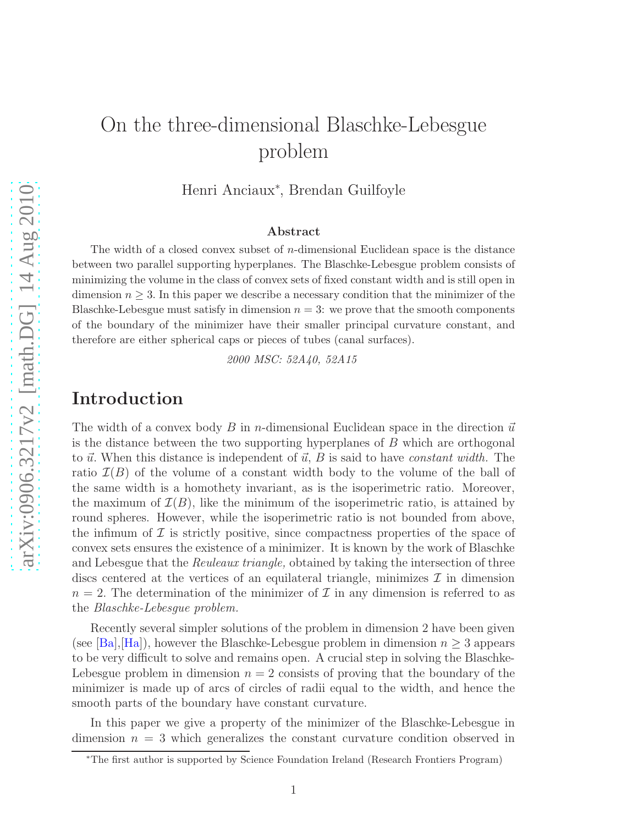# On the three-dimensional Blaschke-Lebesgue problem

Henri Anciaux<sup>∗</sup> , Brendan Guilfoyle

#### Abstract

The width of a closed convex subset of  $n$ -dimensional Euclidean space is the distance between two parallel supporting hyperplanes. The Blaschke-Lebesgue problem consists of minimizing the volume in the class of convex sets of fixed constant width and is still open in dimension  $n \geq 3$ . In this paper we describe a necessary condition that the minimizer of the Blaschke-Lebesgue must satisfy in dimension  $n = 3$ : we prove that the smooth components of the boundary of the minimizer have their smaller principal curvature constant, and therefore are either spherical caps or pieces of tubes (canal surfaces).

2000 MSC: 52A40, 52A15

#### Introduction

The width of a convex body B in n-dimensional Euclidean space in the direction  $\vec{u}$ is the distance between the two supporting hyperplanes of B which are orthogonal to  $\vec{u}$ . When this distance is independent of  $\vec{u}$ , B is said to have constant width. The ratio  $\mathcal{I}(B)$  of the volume of a constant width body to the volume of the ball of the same width is a homothety invariant, as is the isoperimetric ratio. Moreover, the maximum of  $\mathcal{I}(B)$ , like the minimum of the isoperimetric ratio, is attained by round spheres. However, while the isoperimetric ratio is not bounded from above, the infimum of  $\mathcal I$  is strictly positive, since compactness properties of the space of convex sets ensures the existence of a minimizer. It is known by the work of Blaschke and Lebesgue that the Reuleaux triangle, obtained by taking the intersection of three discs centered at the vertices of an equilateral triangle, minimizes  $\mathcal I$  in dimension  $n = 2$ . The determination of the minimizer of  $\mathcal I$  in any dimension is referred to as the Blaschke-Lebesgue problem.

Recently several simpler solutions of the problem in dimension 2 have been given (see [\[Ba\]](#page-10-0),[\[Ha\]](#page-10-1)), however the Blaschke-Lebesgue problem in dimension  $n \geq 3$  appears to be very difficult to solve and remains open. A crucial step in solving the Blaschke-Lebesgue problem in dimension  $n = 2$  consists of proving that the boundary of the minimizer is made up of arcs of circles of radii equal to the width, and hence the smooth parts of the boundary have constant curvature.

In this paper we give a property of the minimizer of the Blaschke-Lebesgue in dimension  $n = 3$  which generalizes the constant curvature condition observed in

<sup>∗</sup>The first author is supported by Science Foundation Ireland (Research Frontiers Program)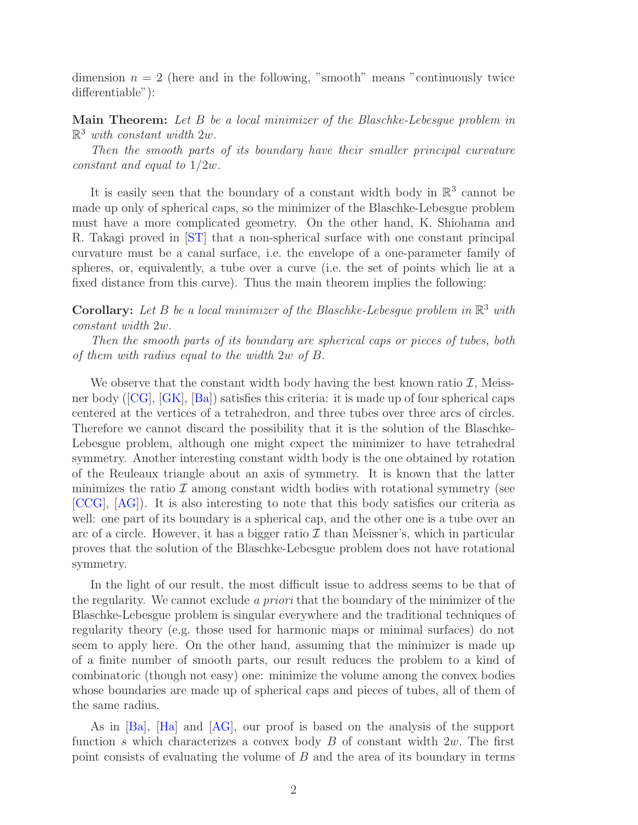dimension  $n = 2$  (here and in the following, "smooth" means "continuously twice differentiable"):

Main Theorem: Let B be a local minimizer of the Blaschke-Lebesgue problem in  $\mathbb{R}^3$  with constant width 2w.

Then the smooth parts of its boundary have their smaller principal curvature constant and equal to 1/2w.

It is easily seen that the boundary of a constant width body in  $\mathbb{R}^3$  cannot be made up only of spherical caps, so the minimizer of the Blaschke-Lebesgue problem must have a more complicated geometry. On the other hand, K. Shiohama and R. Takagi proved in [\[ST\]](#page-10-2) that a non-spherical surface with one constant principal curvature must be a canal surface, i.e. the envelope of a one-parameter family of spheres, or, equivalently, a tube over a curve (i.e. the set of points which lie at a fixed distance from this curve). Thus the main theorem implies the following:

**Corollary:** Let B be a local minimizer of the Blaschke-Lebesgue problem in  $\mathbb{R}^3$  with constant width 2w.

Then the smooth parts of its boundary are spherical caps or pieces of tubes, both of them with radius equal to the width 2w of B.

We observe that the constant width body having the best known ratio  $\mathcal{I}$ , Meissner body ([\[CG\]](#page-10-3), [\[GK\]](#page-10-4), [\[Ba\]](#page-10-0)) satisfies this criteria: it is made up of four spherical caps centered at the vertices of a tetrahedron, and three tubes over three arcs of circles. Therefore we cannot discard the possibility that it is the solution of the Blaschke-Lebesgue problem, although one might expect the minimizer to have tetrahedral symmetry. Another interesting constant width body is the one obtained by rotation of the Reuleaux triangle about an axis of symmetry. It is known that the latter minimizes the ratio  $\mathcal I$  among constant width bodies with rotational symmetry (see [\[CCG\]](#page-10-5), [\[AG\]](#page-10-6)). It is also interesting to note that this body satisfies our criteria as well: one part of its boundary is a spherical cap, and the other one is a tube over an arc of a circle. However, it has a bigger ratio  $\mathcal I$  than Meissner's, which in particular proves that the solution of the Blaschke-Lebesgue problem does not have rotational symmetry.

In the light of our result, the most difficult issue to address seems to be that of the regularity. We cannot exclude a priori that the boundary of the minimizer of the Blaschke-Lebesgue problem is singular everywhere and the traditional techniques of regularity theory (e.g. those used for harmonic maps or minimal surfaces) do not seem to apply here. On the other hand, assuming that the minimizer is made up of a finite number of smooth parts, our result reduces the problem to a kind of combinatoric (though not easy) one: minimize the volume among the convex bodies whose boundaries are made up of spherical caps and pieces of tubes, all of them of the same radius.

As in [\[Ba\]](#page-10-0), [\[Ha\]](#page-10-1) and [\[AG\]](#page-10-6), our proof is based on the analysis of the support function s which characterizes a convex body  $B$  of constant width  $2w$ . The first point consists of evaluating the volume of B and the area of its boundary in terms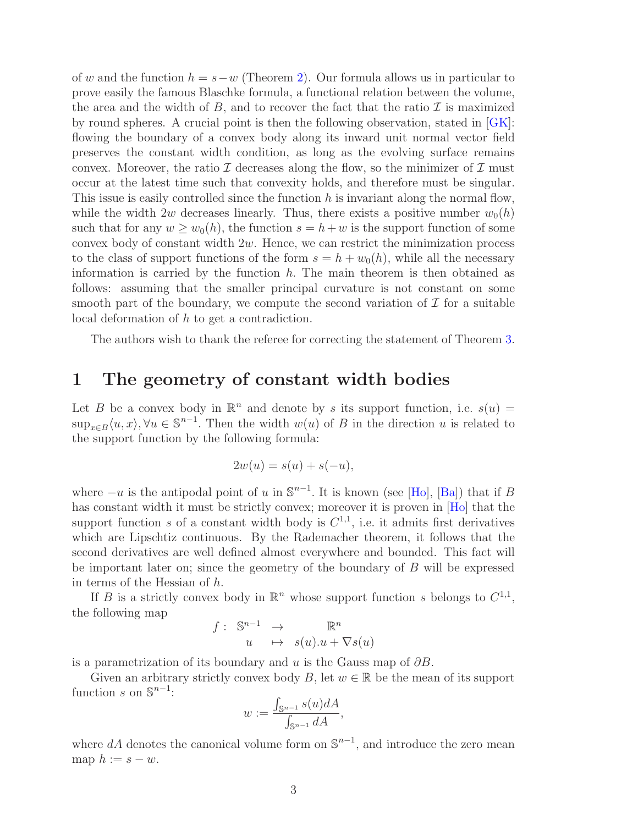of w and the function  $h = s-w$  (Theorem [2\)](#page-4-0). Our formula allows us in particular to prove easily the famous Blaschke formula, a functional relation between the volume, the area and the width of  $B$ , and to recover the fact that the ratio  $\mathcal I$  is maximized by round spheres. A crucial point is then the following observation, stated in  $|GK|$ : flowing the boundary of a convex body along its inward unit normal vector field preserves the constant width condition, as long as the evolving surface remains convex. Moreover, the ratio  $\mathcal I$  decreases along the flow, so the minimizer of  $\mathcal I$  must occur at the latest time such that convexity holds, and therefore must be singular. This issue is easily controlled since the function  $h$  is invariant along the normal flow, while the width 2w decreases linearly. Thus, there exists a positive number  $w_0(h)$ such that for any  $w \geq w_0(h)$ , the function  $s = h+w$  is the support function of some convex body of constant width  $2w$ . Hence, we can restrict the minimization process to the class of support functions of the form  $s = h + w_0(h)$ , while all the necessary information is carried by the function  $h$ . The main theorem is then obtained as follows: assuming that the smaller principal curvature is not constant on some smooth part of the boundary, we compute the second variation of  $\mathcal I$  for a suitable local deformation of h to get a contradiction.

The authors wish to thank the referee for correcting the statement of Theorem [3.](#page-5-0)

#### 1 The geometry of constant width bodies

Let B be a convex body in  $\mathbb{R}^n$  and denote by s its support function, i.e.  $s(u)$  =  $\sup_{x\in B}\langle u,x\rangle, \forall u\in \mathbb{S}^{n-1}$ . Then the width  $w(u)$  of B in the direction u is related to the support function by the following formula:

$$
2w(u) = s(u) + s(-u),
$$

where  $-u$  is the antipodal point of u in  $\mathbb{S}^{n-1}$ . It is known (see [\[Ho\]](#page-10-7), [\[Ba\]](#page-10-0)) that if B has constant width it must be strictly convex; moreover it is proven in [\[Ho\]](#page-10-7) that the support function s of a constant width body is  $C^{1,1}$ , i.e. it admits first derivatives which are Lipschtiz continuous. By the Rademacher theorem, it follows that the second derivatives are well defined almost everywhere and bounded. This fact will be important later on; since the geometry of the boundary of B will be expressed in terms of the Hessian of h.

If B is a strictly convex body in  $\mathbb{R}^n$  whose support function s belongs to  $C^{1,1}$ , the following map

$$
f: \mathbb{S}^{n-1} \to \mathbb{R}^n
$$
  

$$
u \mapsto s(u).u + \nabla s(u)
$$

is a parametrization of its boundary and u is the Gauss map of  $\partial B$ .

Given an arbitrary strictly convex body B, let  $w \in \mathbb{R}$  be the mean of its support function s on  $\mathbb{S}^{n-1}$ :

$$
w := \frac{\int_{\mathbb{S}^{n-1}} s(u) dA}{\int_{\mathbb{S}^{n-1}} dA},
$$

where  $dA$  denotes the canonical volume form on  $\mathbb{S}^{n-1}$ , and introduce the zero mean map  $h := s - w$ .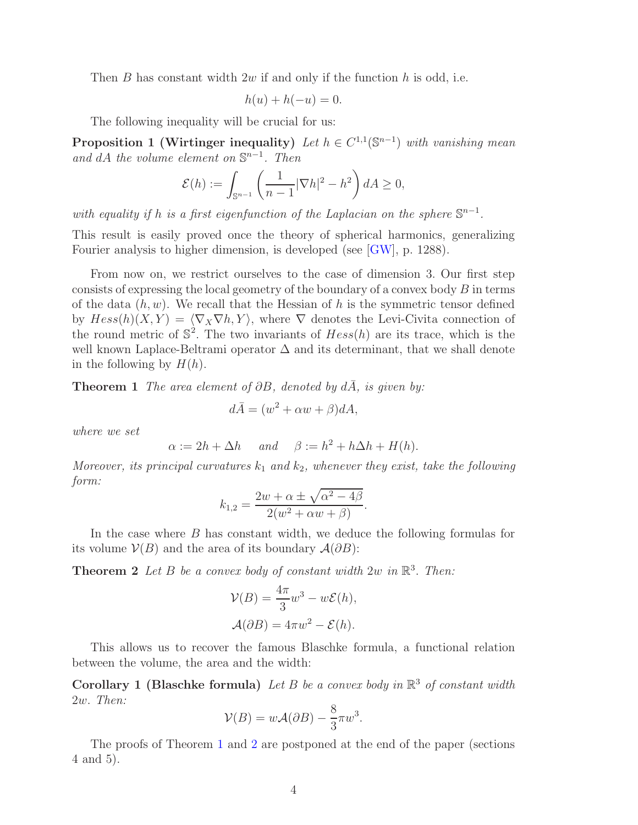Then  $B$  has constant width  $2w$  if and only if the function  $h$  is odd, i.e.

<span id="page-4-2"></span>
$$
h(u) + h(-u) = 0.
$$

The following inequality will be crucial for us:

**Proposition 1 (Wirtinger inequality)** Let  $h \in C^{1,1}(\mathbb{S}^{n-1})$  with vanishing mean and dA the volume element on  $\mathbb{S}^{n-1}$ . Then

$$
\mathcal{E}(h) := \int_{\mathbb{S}^{n-1}} \left( \frac{1}{n-1} |\nabla h|^2 - h^2 \right) dA \ge 0,
$$

with equality if h is a first eigenfunction of the Laplacian on the sphere  $\mathbb{S}^{n-1}$ .

This result is easily proved once the theory of spherical harmonics, generalizing Fourier analysis to higher dimension, is developed (see [\[GW\]](#page-10-8), p. 1288).

From now on, we restrict ourselves to the case of dimension 3. Our first step consists of expressing the local geometry of the boundary of a convex body  $B$  in terms of the data  $(h, w)$ . We recall that the Hessian of h is the symmetric tensor defined by  $Hess(h)(X, Y) = \langle \nabla_X \nabla h, Y \rangle$ , where  $\nabla$  denotes the Levi-Civita connection of the round metric of  $\mathbb{S}^2$ . The two invariants of  $Hess(h)$  are its trace, which is the well known Laplace-Beltrami operator ∆ and its determinant, that we shall denote in the following by  $H(h)$ .

<span id="page-4-1"></span>**Theorem 1** The area element of  $\partial B$ , denoted by  $d\overline{A}$ , is given by:

$$
d\bar{A} = (w^2 + \alpha w + \beta)dA,
$$

where we set

$$
\alpha := 2h + \Delta h
$$
 and  $\beta := h^2 + h\Delta h + H(h)$ .

Moreover, its principal curvatures  $k_1$  and  $k_2$ , whenever they exist, take the following form:

$$
k_{1,2} = \frac{2w + \alpha \pm \sqrt{\alpha^2 - 4\beta}}{2(w^2 + \alpha w + \beta)}.
$$

<span id="page-4-0"></span>In the case where B has constant width, we deduce the following formulas for its volume  $\mathcal{V}(B)$  and the area of its boundary  $\mathcal{A}(\partial B)$ :

**Theorem 2** Let B be a convex body of constant width  $2w$  in  $\mathbb{R}^3$ . Then:

$$
\mathcal{V}(B) = \frac{4\pi}{3}w^3 - w\mathcal{E}(h),
$$

$$
\mathcal{A}(\partial B) = 4\pi w^2 - \mathcal{E}(h).
$$

This allows us to recover the famous Blaschke formula, a functional relation between the volume, the area and the width:

Corollary 1 (Blaschke formula) Let B be a convex body in  $\mathbb{R}^3$  of constant width 2w. Then:

$$
\mathcal{V}(B) = w\mathcal{A}(\partial B) - \frac{8}{3}\pi w^3.
$$

The proofs of Theorem [1](#page-4-1) and [2](#page-4-0) are postponed at the end of the paper (sections 4 and 5).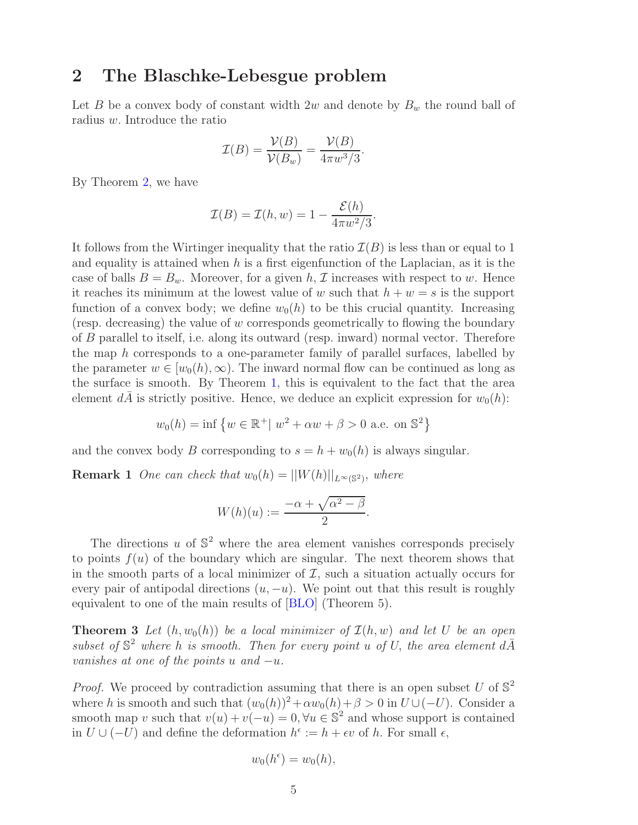#### 2 The Blaschke-Lebesgue problem

Let B be a convex body of constant width 2w and denote by  $B_w$  the round ball of radius w. Introduce the ratio

$$
\mathcal{I}(B) = \frac{\mathcal{V}(B)}{\mathcal{V}(B_w)} = \frac{\mathcal{V}(B)}{4\pi w^3/3}.
$$

By Theorem [2,](#page-4-0) we have

$$
\mathcal{I}(B) = \mathcal{I}(h, w) = 1 - \frac{\mathcal{E}(h)}{4\pi w^2/3}.
$$

It follows from the Wirtinger inequality that the ratio  $\mathcal{I}(B)$  is less than or equal to 1 and equality is attained when  $h$  is a first eigenfunction of the Laplacian, as it is the case of balls  $B = B_w$ . Moreover, for a given h, *I* increases with respect to w. Hence it reaches its minimum at the lowest value of w such that  $h + w = s$  is the support function of a convex body; we define  $w_0(h)$  to be this crucial quantity. Increasing (resp. decreasing) the value of w corresponds geometrically to flowing the boundary of B parallel to itself, i.e. along its outward (resp. inward) normal vector. Therefore the map h corresponds to a one-parameter family of parallel surfaces, labelled by the parameter  $w \in [w_0(h), \infty)$ . The inward normal flow can be continued as long as the surface is smooth. By Theorem [1,](#page-4-1) this is equivalent to the fact that the area element dA is strictly positive. Hence, we deduce an explicit expression for  $w_0(h)$ :

$$
w_0(h) = \inf \{ w \in \mathbb{R}^+ | w^2 + \alpha w + \beta > 0 \text{ a.e. on } \mathbb{S}^2 \}
$$

and the convex body B corresponding to  $s = h + w_0(h)$  is always singular.

**Remark 1** One can check that  $w_0(h) = ||W(h)||_{L^{\infty}(\mathbb{S}^2)}$ , where

$$
W(h)(u) := \frac{-\alpha + \sqrt{\alpha^2 - \beta}}{2}.
$$

The directions u of  $\mathbb{S}^2$  where the area element vanishes corresponds precisely to points  $f(u)$  of the boundary which are singular. The next theorem shows that in the smooth parts of a local minimizer of  $\mathcal I$ , such a situation actually occurs for every pair of antipodal directions  $(u, -u)$ . We point out that this result is roughly equivalent to one of the main results of [\[BLO\]](#page-10-9) (Theorem 5).

<span id="page-5-0"></span>**Theorem 3** Let  $(h, w_0(h))$  be a local minimizer of  $\mathcal{I}(h, w)$  and let U be an open subset of  $\mathbb{S}^2$  where h is smooth. Then for every point u of U, the area element  $d\overline{A}$ vanishes at one of the points u and  $-u$ .

*Proof.* We proceed by contradiction assuming that there is an open subset U of  $\mathbb{S}^2$ where h is smooth and such that  $(w_0(h))^2 + \alpha w_0(h) + \beta > 0$  in  $U \cup (-U)$ . Consider a smooth map v such that  $v(u) + v(-u) = 0$ ,  $\forall u \in \mathbb{S}^2$  and whose support is contained in  $U \cup (-U)$  and define the deformation  $h^{\epsilon} := h + \epsilon v$  of h. For small  $\epsilon$ ,

$$
w_0(h^{\epsilon}) = w_0(h),
$$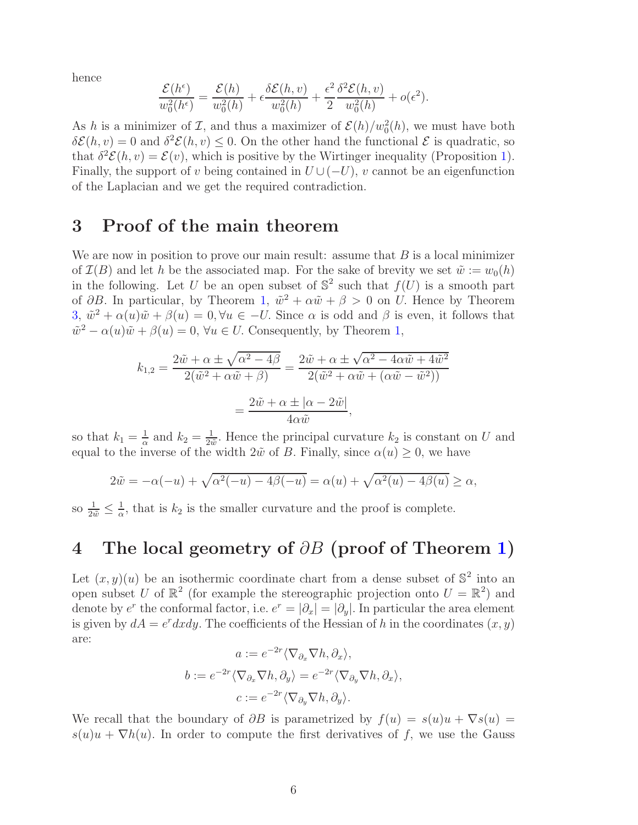hence

$$
\frac{\mathcal{E}(h^{\epsilon})}{w_0^2(h^{\epsilon})} = \frac{\mathcal{E}(h)}{w_0^2(h)} + \epsilon \frac{\delta \mathcal{E}(h, v)}{w_0^2(h)} + \frac{\epsilon^2}{2} \frac{\delta^2 \mathcal{E}(h, v)}{w_0^2(h)} + o(\epsilon^2).
$$

As h is a minimizer of  $\mathcal{I}$ , and thus a maximizer of  $\mathcal{E}(h)/w_0^2(h)$ , we must have both  $\delta \mathcal{E}(h, v) = 0$  and  $\delta^2 \mathcal{E}(h, v) \leq 0$ . On the other hand the functional  $\mathcal{E}$  is quadratic, so that  $\delta^2 \mathcal{E}(h, v) = \mathcal{E}(v)$ , which is positive by the Wirtinger inequality (Proposition [1\)](#page-4-2). Finally, the support of v being contained in  $U \cup (-U)$ , v cannot be an eigenfunction of the Laplacian and we get the required contradiction.

#### 3 Proof of the main theorem

We are now in position to prove our main result: assume that  $B$  is a local minimizer of  $\mathcal{I}(B)$  and let h be the associated map. For the sake of brevity we set  $\tilde{w} := w_0(h)$ in the following. Let U be an open subset of  $\mathbb{S}^2$  such that  $f(U)$  is a smooth part of  $\partial B$ . In particular, by Theorem [1,](#page-4-1)  $\tilde{w}^2 + \alpha \tilde{w} + \beta > 0$  on U. Hence by Theorem  $3, \tilde{w}^2 + \alpha(u)\tilde{w} + \beta(u) = 0, \forall u \in -U$  $3, \tilde{w}^2 + \alpha(u)\tilde{w} + \beta(u) = 0, \forall u \in -U$ . Since  $\alpha$  is odd and  $\beta$  is even, it follows that  $\tilde{w}^2 - \alpha(u)\tilde{w} + \beta(u) = 0$ ,  $\forall u \in U$ . Consequently, by Theorem [1,](#page-4-1)

$$
k_{1,2} = \frac{2\tilde{w} + \alpha \pm \sqrt{\alpha^2 - 4\beta}}{2(\tilde{w}^2 + \alpha \tilde{w} + \beta)} = \frac{2\tilde{w} + \alpha \pm \sqrt{\alpha^2 - 4\alpha \tilde{w} + 4\tilde{w}^2}}{2(\tilde{w}^2 + \alpha \tilde{w} + (\alpha \tilde{w} - \tilde{w}^2))}
$$

$$
= \frac{2\tilde{w} + \alpha \pm |\alpha - 2\tilde{w}|}{4\alpha \tilde{w}},
$$

so that  $k_1 = \frac{1}{\alpha}$  $rac{1}{\alpha}$  and  $k_2 = \frac{1}{2i}$  $\frac{1}{2\tilde{w}}$ . Hence the principal curvature  $k_2$  is constant on U and equal to the inverse of the width  $2\tilde{w}$  of B. Finally, since  $\alpha(u) \geq 0$ , we have

$$
2\tilde{w} = -\alpha(-u) + \sqrt{\alpha^2(-u) - 4\beta(-u)} = \alpha(u) + \sqrt{\alpha^2(u) - 4\beta(u)} \ge \alpha,
$$

so  $\frac{1}{2\tilde{w}} \leq \frac{1}{\alpha}$  $\frac{1}{\alpha}$ , that is  $k_2$  is the smaller curvature and the proof is complete.

## 4 The local geometry of  $\partial B$  (proof of Theorem [1\)](#page-4-1)

Let  $(x, y)(u)$  be an isothermic coordinate chart from a dense subset of  $\mathbb{S}^2$  into an open subset U of  $\mathbb{R}^2$  (for example the stereographic projection onto  $U = \mathbb{R}^2$ ) and denote by  $e^r$  the conformal factor, i.e.  $e^r = |\partial_x| = |\partial_y|$ . In particular the area element is given by  $dA = e^r dx dy$ . The coefficients of the Hessian of h in the coordinates  $(x, y)$ are:

$$
a := e^{-2r} \langle \nabla_{\partial_x} \nabla h, \partial_x \rangle,
$$
  

$$
b := e^{-2r} \langle \nabla_{\partial_x} \nabla h, \partial_y \rangle = e^{-2r} \langle \nabla_{\partial_y} \nabla h, \partial_x \rangle,
$$
  

$$
c := e^{-2r} \langle \nabla_{\partial_y} \nabla h, \partial_y \rangle.
$$

We recall that the boundary of  $\partial B$  is parametrized by  $f(u) = s(u)u + \nabla s(u)$  $s(u)u + \nabla h(u)$ . In order to compute the first derivatives of f, we use the Gauss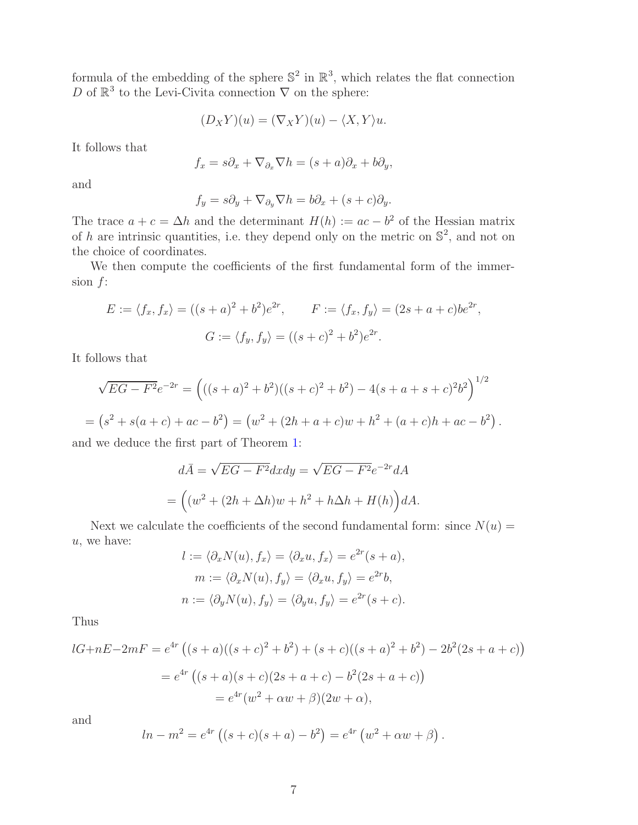formula of the embedding of the sphere  $\mathbb{S}^2$  in  $\mathbb{R}^3$ , which relates the flat connection D of  $\mathbb{R}^3$  to the Levi-Civita connection  $\nabla$  on the sphere:

$$
(D_X Y)(u) = (\nabla_X Y)(u) - \langle X, Y \rangle u.
$$

It follows that

$$
f_x = s\partial_x + \nabla_{\partial_x} \nabla h = (s+a)\partial_x + b\partial_y,
$$

and

$$
f_y = s\partial_y + \nabla_{\partial_y} \nabla h = b\partial_x + (s+c)\partial_y.
$$

The trace  $a + c = \Delta h$  and the determinant  $H(h) := ac - b^2$  of the Hessian matrix of h are intrinsic quantities, i.e. they depend only on the metric on  $\mathbb{S}^2$ , and not on the choice of coordinates.

We then compute the coefficients of the first fundamental form of the immersion  $f$ :

$$
E := \langle f_x, f_x \rangle = ((s+a)^2 + b^2)e^{2r}, \qquad F := \langle f_x, f_y \rangle = (2s+a+c)be^{2r},
$$
  

$$
G := \langle f_y, f_y \rangle = ((s+c)^2 + b^2)e^{2r}.
$$

It follows that

$$
\sqrt{EG - F^2}e^{-2r} = (((s + a)^2 + b^2)((s + c)^2 + b^2) - 4(s + a + s + c)^2b^2)^{1/2}
$$
  
=  $(s^2 + s(a + c) + ac - b^2) = (w^2 + (2h + a + c)w + h^2 + (a + c)h + ac - b^2).$ 

and we deduce the first part of Theorem [1:](#page-4-1)

$$
d\overline{A} = \sqrt{EG - F^2}dxdy = \sqrt{EG - F^2}e^{-2r}dA
$$

$$
= ((w^2 + (2h + \Delta h)w + h^2 + h\Delta h + H(h))dA.
$$

Next we calculate the coefficients of the second fundamental form: since  $N(u)$  = u, we have:

$$
l := \langle \partial_x N(u), f_x \rangle = \langle \partial_x u, f_x \rangle = e^{2r}(s+a),
$$
  
\n
$$
m := \langle \partial_x N(u), f_y \rangle = \langle \partial_x u, f_y \rangle = e^{2r}b,
$$
  
\n
$$
n := \langle \partial_y N(u), f_y \rangle = \langle \partial_y u, f_y \rangle = e^{2r}(s+c).
$$

Thus

$$
lG+nE-2mF = e^{4r} ((s+a)((s+c)^2+b^2) + (s+c)((s+a)^2+b^2) - 2b^2(2s+a+c))
$$
  
=  $e^{4r} ((s+a)(s+c)(2s+a+c) - b^2(2s+a+c))$   
=  $e^{4r}(w^2 + \alpha w + \beta)(2w + \alpha),$ 

and

$$
ln - m2 = e4r ((s + c)(s + a) - b2) = e4r (w2 + \alpha w + \beta).
$$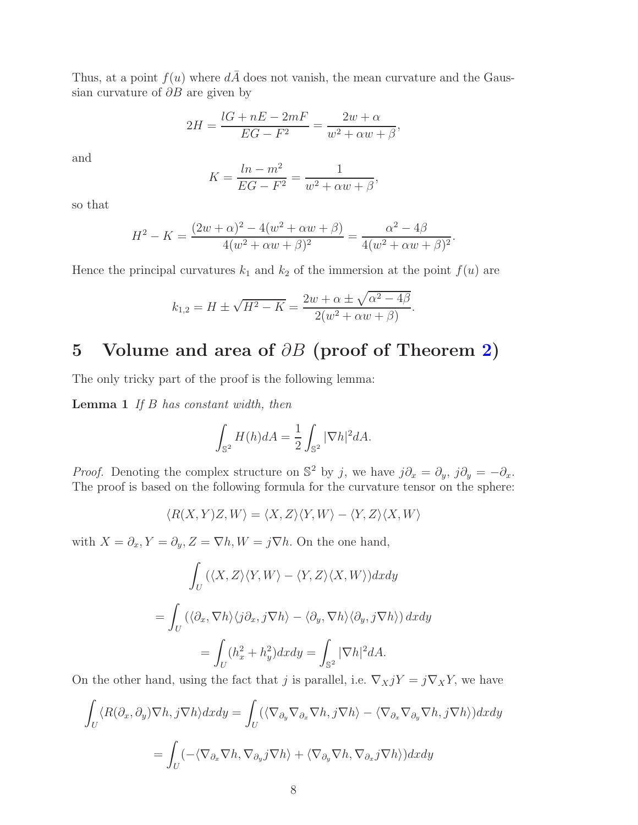Thus, at a point  $f(u)$  where  $d\overline{A}$  does not vanish, the mean curvature and the Gaussian curvature of  $\partial B$  are given by

$$
2H = \frac{lG + nE - 2mF}{EG - F^2} = \frac{2w + \alpha}{w^2 + \alpha w + \beta},
$$

and

$$
K = \frac{\ln - m^2}{EG - F^2} = \frac{1}{w^2 + \alpha w + \beta},
$$

so that

$$
H^{2} - K = \frac{(2w + \alpha)^{2} - 4(w^{2} + \alpha w + \beta)}{4(w^{2} + \alpha w + \beta)^{2}} = \frac{\alpha^{2} - 4\beta}{4(w^{2} + \alpha w + \beta)^{2}}.
$$

Hence the principal curvatures  $k_1$  and  $k_2$  of the immersion at the point  $f(u)$  are

$$
k_{1,2} = H \pm \sqrt{H^2 - K} = \frac{2w + \alpha \pm \sqrt{\alpha^2 - 4\beta}}{2(w^2 + \alpha w + \beta)}.
$$

#### 5 Volume and area of  $\partial B$  (proof of Theorem [2\)](#page-4-0)

The only tricky part of the proof is the following lemma:

**Lemma 1** If  $B$  has constant width, then

<span id="page-8-0"></span>
$$
\int_{\mathbb{S}^2} H(h) dA = \frac{1}{2} \int_{\mathbb{S}^2} |\nabla h|^2 dA.
$$

*Proof.* Denoting the complex structure on  $\mathbb{S}^2$  by j, we have  $j\partial_x = \partial_y$ ,  $j\partial_y = -\partial_x$ . The proof is based on the following formula for the curvature tensor on the sphere:

$$
\langle R(X,Y)Z,W\rangle = \langle X,Z\rangle \langle Y,W\rangle - \langle Y,Z\rangle \langle X,W\rangle
$$

with  $X = \partial_x, Y = \partial_y, Z = \nabla h, W = j \nabla h$ . On the one hand,

$$
\int_{U} (\langle X, Z \rangle \langle Y, W \rangle - \langle Y, Z \rangle \langle X, W \rangle) dxdy
$$
\n
$$
= \int_{U} (\langle \partial_x, \nabla h \rangle \langle j \partial_x, j \nabla h \rangle - \langle \partial_y, \nabla h \rangle \langle \partial_y, j \nabla h \rangle) dxdy
$$
\n
$$
= \int_{U} (h_x^2 + h_y^2) dxdy = \int_{\mathbb{S}^2} |\nabla h|^2 dA.
$$

On the other hand, using the fact that j is parallel, i.e.  $\nabla_X jY = j\nabla_X Y$ , we have

$$
\int_{U} \langle R(\partial_x, \partial_y) \nabla h, j \nabla h \rangle dx dy = \int_{U} (\langle \nabla_{\partial_y} \nabla_{\partial_x} \nabla h, j \nabla h \rangle - \langle \nabla_{\partial_x} \nabla_{\partial_y} \nabla h, j \nabla h \rangle) dx dy
$$

$$
= \int_{U} (-\langle \nabla_{\partial_x} \nabla h, \nabla_{\partial_y} j \nabla h \rangle + \langle \nabla_{\partial_y} \nabla h, \nabla_{\partial_x} j \nabla h \rangle) dx dy
$$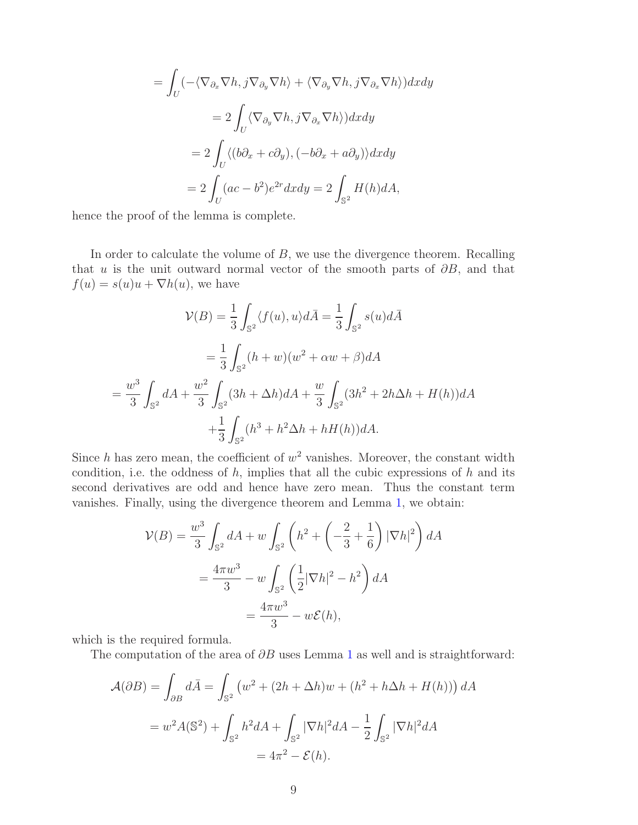$$
= \int_{U} \left( -\langle \nabla_{\partial_x} \nabla h, j \nabla_{\partial_y} \nabla h \rangle + \langle \nabla_{\partial_y} \nabla h, j \nabla_{\partial_x} \nabla h \rangle \right) dx dy
$$

$$
= 2 \int_{U} \langle \nabla_{\partial_y} \nabla h, j \nabla_{\partial_x} \nabla h \rangle \right) dx dy
$$

$$
= 2 \int_{U} \langle (b\partial_x + c\partial_y), (-b\partial_x + a\partial_y) \rangle dx dy
$$

$$
= 2 \int_{U} (ac - b^2)e^{2r} dx dy = 2 \int_{\mathbb{S}^2} H(h) dA,
$$

hence the proof of the lemma is complete.

In order to calculate the volume of  $B$ , we use the divergence theorem. Recalling that u is the unit outward normal vector of the smooth parts of  $\partial B$ , and that  $f(u) = s(u)u + \nabla h(u)$ , we have

$$
\mathcal{V}(B) = \frac{1}{3} \int_{\mathbb{S}^2} \langle f(u), u \rangle d\bar{A} = \frac{1}{3} \int_{\mathbb{S}^2} s(u) d\bar{A}
$$
  
=  $\frac{1}{3} \int_{\mathbb{S}^2} (h + w)(w^2 + \alpha w + \beta) dA$   
=  $\frac{w^3}{3} \int_{\mathbb{S}^2} dA + \frac{w^2}{3} \int_{\mathbb{S}^2} (3h + \Delta h) dA + \frac{w}{3} \int_{\mathbb{S}^2} (3h^2 + 2h\Delta h + H(h)) dA$   
+  $\frac{1}{3} \int_{\mathbb{S}^2} (h^3 + h^2\Delta h + hH(h)) dA.$ 

Since  $h$  has zero mean, the coefficient of  $w^2$  vanishes. Moreover, the constant width condition, i.e. the oddness of  $h$ , implies that all the cubic expressions of  $h$  and its second derivatives are odd and hence have zero mean. Thus the constant term vanishes. Finally, using the divergence theorem and Lemma [1,](#page-8-0) we obtain:

$$
\mathcal{V}(B) = \frac{w^3}{3} \int_{\mathbb{S}^2} dA + w \int_{\mathbb{S}^2} \left( h^2 + \left( -\frac{2}{3} + \frac{1}{6} \right) |\nabla h|^2 \right) dA
$$
  
=  $\frac{4\pi w^3}{3} - w \int_{\mathbb{S}^2} \left( \frac{1}{2} |\nabla h|^2 - h^2 \right) dA$   
=  $\frac{4\pi w^3}{3} - w\mathcal{E}(h),$ 

which is the required formula.

The computation of the area of  $\partial B$  uses Lemma [1](#page-8-0) as well and is straightforward:

$$
\mathcal{A}(\partial B) = \int_{\partial B} d\bar{A} = \int_{\mathbb{S}^2} \left( w^2 + (2h + \Delta h)w + (h^2 + h\Delta h + H(h)) \right) dA
$$

$$
= w^2 A(\mathbb{S}^2) + \int_{\mathbb{S}^2} h^2 dA + \int_{\mathbb{S}^2} |\nabla h|^2 dA - \frac{1}{2} \int_{\mathbb{S}^2} |\nabla h|^2 dA
$$

$$
= 4\pi^2 - \mathcal{E}(h).
$$